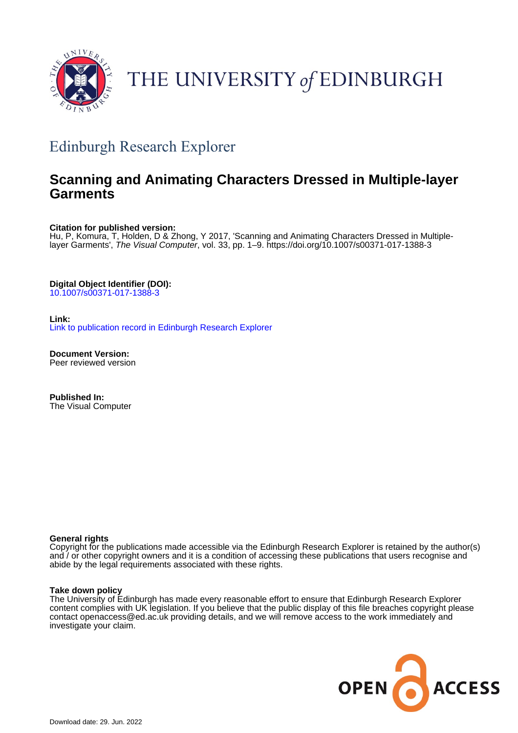

# THE UNIVERSITY of EDINBURGH

## Edinburgh Research Explorer

### **Scanning and Animating Characters Dressed in Multiple-layer Garments**

**Citation for published version:**

Hu, P, Komura, T, Holden, D & Zhong, Y 2017, 'Scanning and Animating Characters Dressed in Multiplelayer Garments', *The Visual Computer*, vol. 33, pp. 1–9.<https://doi.org/10.1007/s00371-017-1388-3>

**Digital Object Identifier (DOI):** [10.1007/s00371-017-1388-3](https://doi.org/10.1007/s00371-017-1388-3)

**Link:** [Link to publication record in Edinburgh Research Explorer](https://www.research.ed.ac.uk/en/publications/967ed461-3c82-4ffd-a596-5c503c5dbd7f)

**Document Version:** Peer reviewed version

**Published In:** The Visual Computer

#### **General rights**

Copyright for the publications made accessible via the Edinburgh Research Explorer is retained by the author(s) and / or other copyright owners and it is a condition of accessing these publications that users recognise and abide by the legal requirements associated with these rights.

#### **Take down policy**

The University of Edinburgh has made every reasonable effort to ensure that Edinburgh Research Explorer content complies with UK legislation. If you believe that the public display of this file breaches copyright please contact openaccess@ed.ac.uk providing details, and we will remove access to the work immediately and investigate your claim.

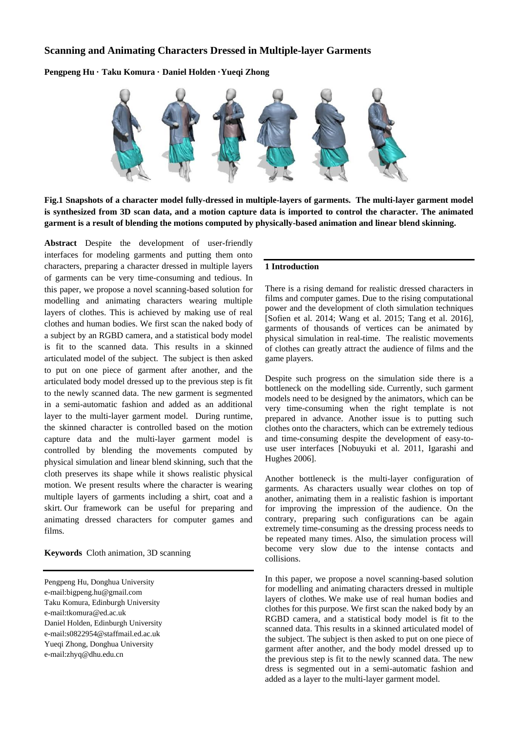#### **Scanning and Animating Characters Dressed in Multiple-layer Garments**

**Pengpeng Hu · Taku Komura · Daniel Holden ·Yueqi Zhong**



**Fig.1 Snapshots of a character model fully-dressed in multiple-layers of garments. The multi-layer garment model is synthesized from 3D scan data, and a motion capture data is imported to control the character. The animated garment is a result of blending the motions computed by physically-based animation and linear blend skinning.** 

**Abstract** Despite the development of user-friendly interfaces for modeling garments and putting them onto characters, preparing a character dressed in multiple layers of garments can be very time-consuming and tedious. In this paper, we propose a novel scanning-based solution for modelling and animating characters wearing multiple layers of clothes. This is achieved by making use of real clothes and human bodies. We first scan the naked body of a subject by an RGBD camera, and a statistical body model is fit to the scanned data. This results in a skinned articulated model of the subject. The subject is then asked to put on one piece of garment after another, and the articulated body model dressed up to the previous step is fit to the newly scanned data. The new garment is segmented in a semi-automatic fashion and added as an additional layer to the multi-layer garment model. During runtime, the skinned character is controlled based on the motion capture data and the multi-layer garment model is controlled by blending the movements computed by physical simulation and linear blend skinning, such that the cloth preserves its shape while it shows realistic physical motion. We present results where the character is wearing multiple layers of garments including a shirt, coat and a skirt. Our framework can be useful for preparing and animating dressed characters for computer games and films.

**Keywords** Cloth animation, 3D scanning

Pengpeng Hu, Donghua University e-mail:bigpeng.hu@gmail.com Taku Komura, Edinburgh University e-mail:tkomura@ed.ac.uk Daniel Holden, Edinburgh University e-mail:s0822954@staffmail.ed.ac.uk Yueqi Zhong, Donghua University e-mai[l:zhyq@dhu.edu.cn](mailto:zhyq@dhu.edu.cn)

#### **1 Introduction**

There is a rising demand for realistic dressed characters in films and computer games. Due to the rising computational power and the development of cloth simulation techniques [Sofien et al. 2014; Wang et al. 2015; Tang et al. 2016], garments of thousands of vertices can be animated by physical simulation in real-time. The realistic movements of clothes can greatly attract the audience of films and the game players.

Despite such progress on the simulation side there is a bottleneck on the modelling side. Currently, such garment models need to be designed by the animators, which can be very time-consuming when the right template is not prepared in advance. Another issue is to putting such clothes onto the characters, which can be extremely tedious and time-consuming despite the development of easy-touse user interfaces [Nobuyuki et al. 2011, Igarashi and Hughes 2006].

Another bottleneck is the multi-layer configuration of garments. As characters usually wear clothes on top of another, animating them in a realistic fashion is important for improving the impression of the audience. On the contrary, preparing such configurations can be again extremely time-consuming as the dressing process needs to be repeated many times. Also, the simulation process will become very slow due to the intense contacts and collisions.

In this paper, we propose a novel scanning-based solution for modelling and animating characters dressed in multiple layers of clothes. We make use of real human bodies and clothes for this purpose. We first scan the naked body by an RGBD camera, and a statistical body model is fit to the scanned data. This results in a skinned articulated model of the subject. The subject is then asked to put on one piece of garment after another, and the body model dressed up to the previous step is fit to the newly scanned data. The new dress is segmented out in a semi-automatic fashion and added as a layer to the multi-layer garment model.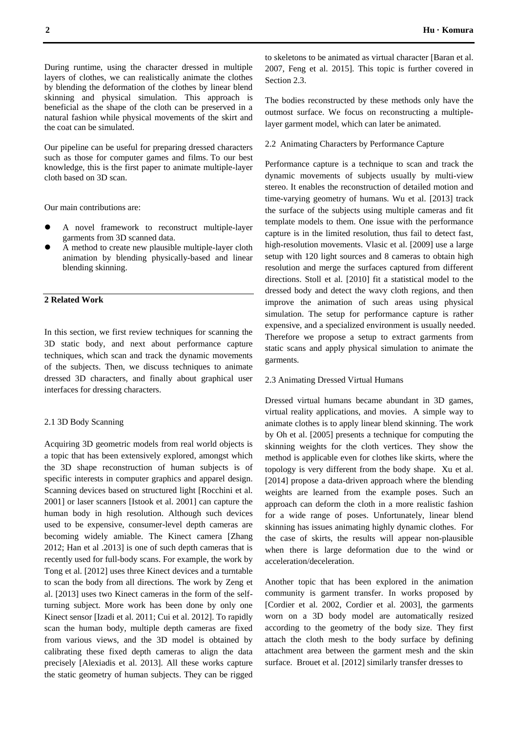During runtime, using the character dressed in multiple layers of clothes, we can realistically animate the clothes by blending the deformation of the clothes by linear blend skinning and physical simulation. This approach is beneficial as the shape of the cloth can be preserved in a natural fashion while physical movements of the skirt and the coat can be simulated.

Our pipeline can be useful for preparing dressed characters such as those for computer games and films. To our best knowledge, this is the first paper to animate multiple-layer cloth based on 3D scan.

Our main contributions are:

- A novel framework to reconstruct multiple-layer garments from 3D scanned data.
- A method to create new plausible multiple-layer cloth animation by blending physically-based and linear blending skinning.

#### **2 Related Work**

In this section, we first review techniques for scanning the 3D static body, and next about performance capture techniques, which scan and track the dynamic movements of the subjects. Then, we discuss techniques to animate dressed 3D characters, and finally about graphical user interfaces for dressing characters.

#### 2.1 3D Body Scanning

Acquiring 3D geometric models from real world objects is a topic that has been extensively explored, amongst which the 3D shape reconstruction of human subjects is of specific interests in computer graphics and apparel design. Scanning devices based on structured light [Rocchini et al. 2001] or laser scanners [Istook et al. 2001] can capture the human body in high resolution. Although such devices used to be expensive, consumer-level depth cameras are becoming widely amiable. The Kinect camera [Zhang 2012; Han et al .2013] is one of such depth cameras that is recently used for full-body scans. For example, the work by Tong et al. [2012] uses three Kinect devices and a turntable to scan the body from all directions. The work by Zeng et al. [2013] uses two Kinect cameras in the form of the selfturning subject. More work has been done by only one Kinect sensor [Izadi et al. 2011; Cui et al. 2012]. To rapidly scan the human body, multiple depth cameras are fixed from various views, and the 3D model is obtained by calibrating these fixed depth cameras to align the data precisely [Alexiadis et al. 2013]. All these works capture the static geometry of human subjects. They can be rigged

to skeletons to be animated as virtual character [Baran et al. 2007, Feng et al. 2015]. This topic is further covered in Section 2.3.

The bodies reconstructed by these methods only have the outmost surface. We focus on reconstructing a multiplelayer garment model, which can later be animated.

#### 2.2 Animating Characters by Performance Capture

Performance capture is a technique to scan and track the dynamic movements of subjects usually by multi-view stereo. It enables the reconstruction of detailed motion and time-varying geometry of humans. Wu et al. [2013] track the surface of the subjects using multiple cameras and fit template models to them. One issue with the performance capture is in the limited resolution, thus fail to detect fast, high-resolution movements. Vlasic et al. [2009] use a large setup with 120 light sources and 8 cameras to obtain high resolution and merge the surfaces captured from different directions. Stoll et al. [2010] fit a statistical model to the dressed body and detect the wavy cloth regions, and then improve the animation of such areas using physical simulation. The setup for performance capture is rather expensive, and a specialized environment is usually needed. Therefore we propose a setup to extract garments from static scans and apply physical simulation to animate the garments.

#### 2.3 Animating Dressed Virtual Humans

Dressed virtual humans became abundant in 3D games, virtual reality applications, and movies. A simple way to animate clothes is to apply linear blend skinning. The work by Oh et al. [2005] presents a technique for computing the skinning weights for the cloth vertices. They show the method is applicable even for clothes like skirts, where the topology is very different from the body shape. Xu et al. [2014] propose a data-driven approach where the blending weights are learned from the example poses. Such an approach can deform the cloth in a more realistic fashion for a wide range of poses. Unfortunately, linear blend skinning has issues animating highly dynamic clothes. For the case of skirts, the results will appear non-plausible when there is large deformation due to the wind or acceleration/deceleration.

Another topic that has been explored in the animation community is garment transfer. In works proposed by [Cordier et al. 2002, Cordier et al. 2003], the garments worn on a 3D body model are automatically resized according to the geometry of the body size. They first attach the cloth mesh to the body surface by defining attachment area between the garment mesh and the skin surface. Brouet et al. [2012] similarly transfer dresses to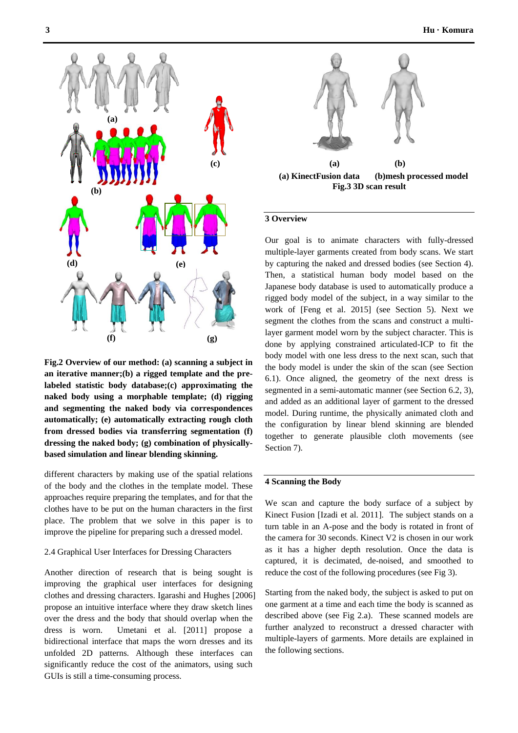

**Fig.2 Overview of our method: (a) scanning a subject in an iterative manner;(b) a rigged template and the prelabeled statistic body database;(c) approximating the naked body using a morphable template; (d) rigging and segmenting the naked body via correspondences automatically; (e) automatically extracting rough cloth from dressed bodies via transferring segmentation (f) dressing the naked body; (g) combination of physicallybased simulation and linear blending skinning.**

different characters by making use of the spatial relations of the body and the clothes in the template model. These approaches require preparing the templates, and for that the clothes have to be put on the human characters in the first place. The problem that we solve in this paper is to improve the pipeline for preparing such a dressed model.

#### 2.4 Graphical User Interfaces for Dressing Characters

Another direction of research that is being sought is improving the graphical user interfaces for designing clothes and dressing characters. Igarashi and Hughes [2006] propose an intuitive interface where they draw sketch lines over the dress and the body that should overlap when the dress is worn. Umetani et al. [2011] propose a bidirectional interface that maps the worn dresses and its unfolded 2D patterns. Although these interfaces can significantly reduce the cost of the animators, using such GUIs is still a time-consuming process.



#### **3 Overview**

Our goal is to animate characters with fully-dressed multiple-layer garments created from body scans. We start by capturing the naked and dressed bodies (see Section 4). Then, a statistical human body model based on the Japanese body database is used to automatically produce a rigged body model of the subject, in a way similar to the work of [Feng et al. 2015] (see Section 5). Next we segment the clothes from the scans and construct a multilayer garment model worn by the subject character. This is done by applying constrained articulated-ICP to fit the body model with one less dress to the next scan, such that the body model is under the skin of the scan (see Section 6.1). Once aligned, the geometry of the next dress is segmented in a semi-automatic manner (see Section 6.2, 3), and added as an additional layer of garment to the dressed model. During runtime, the physically animated cloth and the configuration by linear blend skinning are blended together to generate plausible cloth movements (see Section 7).

#### **4 Scanning the Body**

We scan and capture the body surface of a subject by Kinect Fusion [Izadi et al. 2011]. The subject stands on a turn table in an A-pose and the body is rotated in front of the camera for 30 seconds. Kinect V2 is chosen in our work as it has a higher depth resolution. Once the data is captured, it is decimated, de-noised, and smoothed to reduce the cost of the following procedures (see Fig 3).

Starting from the naked body, the subject is asked to put on one garment at a time and each time the body is scanned as described above (see Fig 2.a). These scanned models are further analyzed to reconstruct a dressed character with multiple-layers of garments. More details are explained in the following sections.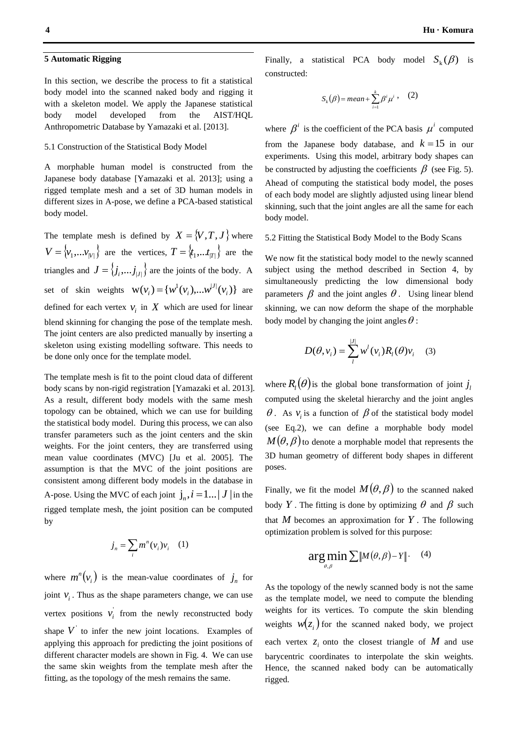In this section, we describe the process to fit a statistical body model into the scanned naked body and rigging it with a skeleton model. We apply the Japanese statistical body model developed from the AIST/HQL Anthropometric Database by Yamazaki et al. [2013].

#### 5.1 Construction of the Statistical Body Model

A morphable human model is constructed from the Japanese body database [Yamazaki et al. 2013]; using a rigged template mesh and a set of 3D human models in different sizes in A-pose, we define a PCA-based statistical body model.

The template mesh is defined by  $X = \{V, T, J\}$  where  $V = \{v_1, \ldots, v_{|V|}\}$  are the vertices,  $T = \{t_1, \ldots, t_{|T|}\}$  are the triangles and  $J = \langle j_i, \dots, j_{|J|} \rangle$  are the joints of the body. A set of skin weights  $\mathbf{W}(v_i) = \{w^1(v_i), \dots w^{|J|}(v_i)\}\$ *J*  $v_i$   $=$   $\{w^1(v_i),...w^{|J|}(v_i)\}\)$  are defined for each vertex  $v_i$  in  $X$  which are used for linear blend skinning for changing the pose of the template mesh. The joint centers are also predicted manually by inserting a skeleton using existing modelling software. This needs to be done only once for the template model.

The template mesh is fit to the point cloud data of different body scans by non-rigid registration [Yamazaki et al. 2013]. As a result, different body models with the same mesh topology can be obtained, which we can use for building the statistical body model. During this process, we can also transfer parameters such as the joint centers and the skin weights. For the joint centers, they are transferred using mean value coordinates (MVC) [Ju et al. 2005]. The assumption is that the MVC of the joint positions are consistent among different body models in the database in A-pose. Using the MVC of each joint  $j_n$ ,  $i = 1...|J|$  in the rigged template mesh, the joint position can be computed by

$$
j_n = \sum_i m^n(v_i) v_i \quad (1)
$$

where  $m^n(v_i)$  is the mean-value coordinates of  $j_n$  for joint  $v_i$ . Thus as the shape parameters change, we can use vertex positions  $v_i$  from the newly reconstructed body shape  $V$  to infer the new joint locations. Examples of applying this approach for predicting the joint positions of different character models are shown in Fig. 4. We can use the same skin weights from the template mesh after the fitting, as the topology of the mesh remains the same.

Finally, a statistical PCA body model  $S_k(\beta)$  is constructed:

$$
S_k(\beta) = mean + \sum_{i=1}^k \beta^i \mu^i \,,\quad (2)
$$

where  $\beta^i$  is the coefficient of the PCA basis  $\mu^i$  computed from the Japanese body database, and  $k = 15$  in our experiments. Using this model, arbitrary body shapes can be constructed by adjusting the coefficients  $\beta$  (see Fig. 5). Ahead of computing the statistical body model, the poses of each body model are slightly adjusted using linear blend skinning, such that the joint angles are all the same for each body model.

#### 5.2 Fitting the Statistical Body Model to the Body Scans

We now fit the statistical body model to the newly scanned subject using the method described in Section 4, by simultaneously predicting the low dimensional body parameters  $\beta$  and the joint angles  $\theta$ . Using linear blend skinning, we can now deform the shape of the morphable body model by changing the joint angles  $\theta$ :

$$
D(\theta, v_i) = \sum_{l}^{|J|} w^l(v_i) R_l(\theta) v_i \quad (3)
$$

where  $R$ <sup>*l*</sup> $(\theta)$  is the global bone transformation of joint  $j$ <sup>*l*</sup> computed using the skeletal hierarchy and the joint angles  $\theta$ . As  $v_i$  is a function of  $\beta$  of the statistical body model (see Eq.2), we can define a morphable body model  $M(\theta, \beta)$  to denote a morphable model that represents the 3D human geometry of different body shapes in different poses.

Finally, we fit the model  $M(\theta, \beta)$  to the scanned naked body Y. The fitting is done by optimizing  $\theta$  and  $\beta$  such that  $M$  becomes an approximation for  $Y$ . The following optimization problem is solved for this purpose:

$$
\arg\min_{\theta,\beta} \sum \|M(\theta,\beta) - Y\| \cdot \quad (4)
$$

As the topology of the newly scanned body is not the same as the template model, we need to compute the blending weights for its vertices. To compute the skin blending weights  $w(z_i)$  for the scanned naked body, we project each vertex  $z_i$  onto the closest triangle of  $M$  and use barycentric coordinates to interpolate the skin weights. Hence, the scanned naked body can be automatically rigged.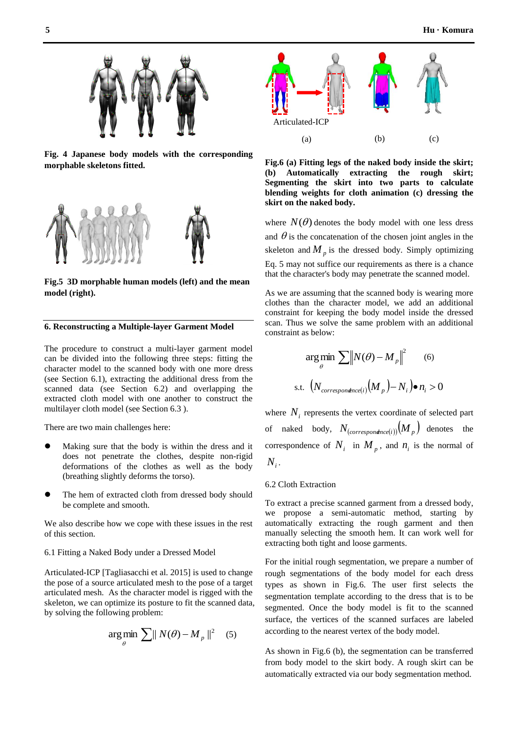

**Fig. 4 Japanese body models with the corresponding morphable skeletons fitted.** 



**Fig.5 3D morphable human models (left) and the mean model (right).** 

#### **6. Reconstructing a Multiple-layer Garment Model**

The procedure to construct a multi-layer garment model can be divided into the following three steps: fitting the character model to the scanned body with one more dress (see Section 6.1), extracting the additional dress from the scanned data (see Section 6.2) and overlapping the extracted cloth model with one another to construct the multilayer cloth model (see Section 6.3 ).

There are two main challenges here:

- Making sure that the body is within the dress and it does not penetrate the clothes, despite non-rigid deformations of the clothes as well as the body (breathing slightly deforms the torso).
- The hem of extracted cloth from dressed body should be complete and smooth.

We also describe how we cope with these issues in the rest of this section.

6.1 Fitting a Naked Body under a Dressed Model

Articulated-ICP [Tagliasacchi et al. 2015] is used to change the pose of a source articulated mesh to the pose of a target articulated mesh. As the character model is rigged with the skeleton, we can optimize its posture to fit the scanned data, by solving the following problem:

$$
\arg\min_{\theta} \sum_{p} \|N(\theta) - M_{p}\|^2 \quad (5)
$$



**Fig.6 (a) Fitting legs of the naked body inside the skirt; (b) Automatically extracting the rough skirt; Segmenting the skirt into two parts to calculate blending weights for cloth animation (c) dressing the skirt on the naked body.**

where  $N(\theta)$  denotes the body model with one less dress and  $\theta$  is the concatenation of the chosen joint angles in the skeleton and  $M_p$  is the dressed body. Simply optimizing Eq. 5 may not suffice our requirements as there is a chance that the character's body may penetrate the scanned model.

As we are assuming that the scanned body is wearing more clothes than the character model, we add an additional constraint for keeping the body model inside the dressed scan. Thus we solve the same problem with an additional constraint as below:

$$
\arg\min_{\theta} \sum \|N(\theta) - M_p\|^2 \qquad (6)
$$
  
s.t.  $(N_{correspondence(i)}(M_p) - N_i) \bullet n_i > 0$ 

where  $N_i$  represents the vertex coordinate of selected part of naked body,  $N_{(correspondence(i))}(M_p)$  denotes the correspondence of  $N_i$  in  $M_p$ , and  $n_i$  is the normal of  $N_i$ .

#### 6.2 Cloth Extraction

To extract a precise scanned garment from a dressed body, we propose a semi-automatic method, starting by automatically extracting the rough garment and then manually selecting the smooth hem. It can work well for extracting both tight and loose garments.

For the initial rough segmentation, we prepare a number of rough segmentations of the body model for each dress types as shown in Fig.6. The user first selects the segmentation template according to the dress that is to be segmented. Once the body model is fit to the scanned surface, the vertices of the scanned surfaces are labeled according to the nearest vertex of the body model.

As shown in Fig.6 (b), the segmentation can be transferred from body model to the skirt body. A rough skirt can be automatically extracted via our body segmentation method.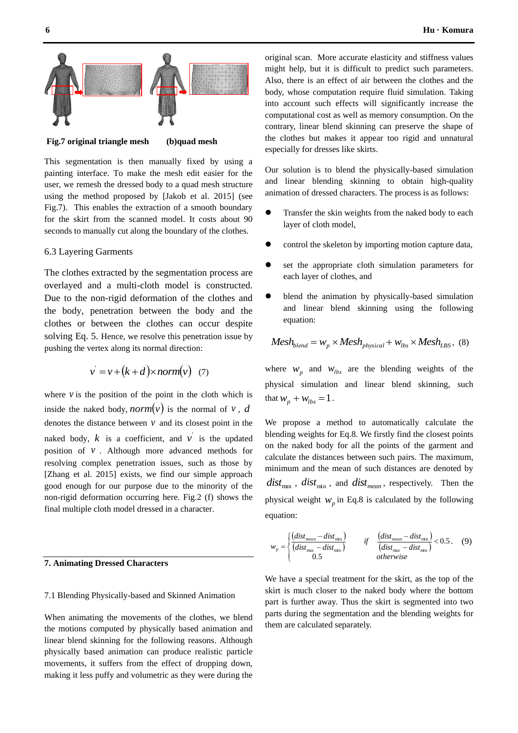

**Fig.7 original triangle mesh (b)quad mesh**

This segmentation is then manually fixed by using a painting interface. To make the mesh edit easier for the user, we remesh the dressed body to a quad mesh structure using the method proposed by [Jakob et al. 2015] (see Fig.7). This enables the extraction of a smooth boundary for the skirt from the scanned model. It costs about 90 seconds to manually cut along the boundary of the clothes.

#### 6.3 Layering Garments

The clothes extracted by the segmentation process are overlayed and a multi-cloth model is constructed. Due to the non-rigid deformation of the clothes and the body, penetration between the body and the clothes or between the clothes can occur despite solving Eq. 5. Hence, we resolve this penetration issue by pushing the vertex along its normal direction:

$$
v' = v + (k + d) \times norm(v) \quad (7)
$$

where  $\nu$  is the position of the point in the cloth which is inside the naked body, *norm* $(v)$  is the normal of v, *d* denotes the distance between  $\nu$  and its closest point in the naked body,  $k$  is a coefficient, and  $v$  is the updated position of  $\nu$ . Although more advanced methods for resolving complex penetration issues, such as those by [Zhang et al. 2015] exists, we find our simple approach good enough for our purpose due to the minority of the non-rigid deformation occurring here. Fig.2 (f) shows the final multiple cloth model dressed in a character.

#### **7. Animating Dressed Characters**

#### 7.1 Blending Physically-based and Skinned Animation

When animating the movements of the clothes, we blend the motions computed by physically based animation and linear blend skinning for the following reasons. Although physically based animation can produce realistic particle movements, it suffers from the effect of dropping down, making it less puffy and volumetric as they were during the original scan. More accurate elasticity and stiffness values might help, but it is difficult to predict such parameters. Also, there is an effect of air between the clothes and the body, whose computation require fluid simulation. Taking into account such effects will significantly increase the computational cost as well as memory consumption. On the contrary, linear blend skinning can preserve the shape of the clothes but makes it appear too rigid and unnatural especially for dresses like skirts.

Our solution is to blend the physically-based simulation and linear blending skinning to obtain high-quality animation of dressed characters. The process is as follows:

- Transfer the skin weights from the naked body to each layer of cloth model,
- control the skeleton by importing motion capture data,
- set the appropriate cloth simulation parameters for each layer of clothes, and
- blend the animation by physically-based simulation and linear blend skinning using the following equation:

$$
Mesh_{blend} = w_p \times Mesh_{physical} + w_{lbs} \times Mesh_{LBS}, \text{ (8)}
$$

where  $w_p$  and  $w_{lbs}$  are the blending weights of the physical simulation and linear blend skinning, such that  $w_p + w_{lbs} = 1$ .

We propose a method to automatically calculate the blending weights for Eq.8. We firstly find the closest points on the naked body for all the points of the garment and calculate the distances between such pairs. The maximum, minimum and the mean of such distances are denoted by  $dist_{\text{max}}$ ,  $dist_{\text{min}}$ , and  $dist_{\text{mean}}$ , respectively. Then the physical weight  $W_p$  in Eq.8 is calculated by the following equation:

$$
w_p = \begin{cases} \left(\frac{dist_{mean} - dist_{min}}{(dist_{max} - dist_{min})}\right) & \text{if} \quad \frac{(dist_{mean} - dist_{min})}{\left(\frac{dist_{max} - dist_{min}}{\right)} < 0.5. \quad (9) \\ 0.5 & \text{otherwise} \end{cases}
$$

We have a special treatment for the skirt, as the top of the skirt is much closer to the naked body where the bottom part is further away. Thus the skirt is segmented into two parts during the segmentation and the blending weights for them are calculated separately.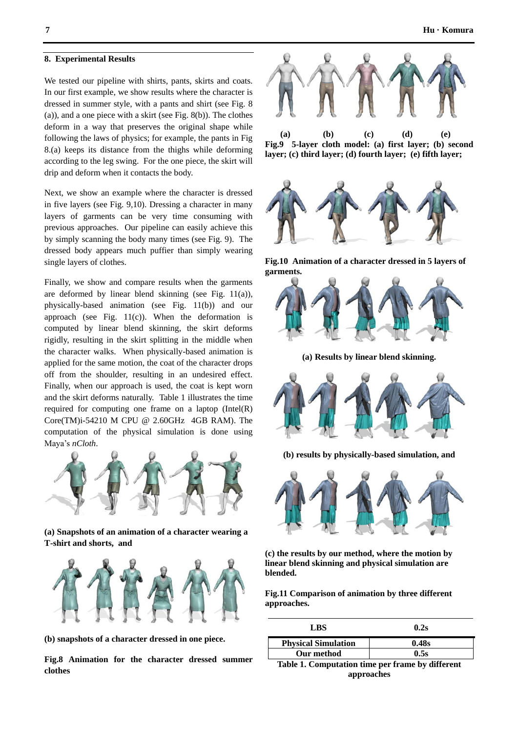We tested our pipeline with shirts, pants, skirts and coats. In our first example, we show results where the character is dressed in summer style, with a pants and shirt (see Fig. 8 (a)), and a one piece with a skirt (see Fig. 8(b)). The clothes deform in a way that preserves the original shape while following the laws of physics; for example, the pants in Fig 8.(a) keeps its distance from the thighs while deforming according to the leg swing. For the one piece, the skirt will drip and deform when it contacts the body.

Next, we show an example where the character is dressed in five layers (see Fig. 9,10). Dressing a character in many layers of garments can be very time consuming with previous approaches. Our pipeline can easily achieve this by simply scanning the body many times (see Fig. 9). The dressed body appears much puffier than simply wearing single layers of clothes.

Finally, we show and compare results when the garments are deformed by linear blend skinning (see Fig. 11(a)), physically-based animation (see Fig. 11(b)) and our approach (see Fig.  $11(c)$ ). When the deformation is computed by linear blend skinning, the skirt deforms rigidly, resulting in the skirt splitting in the middle when the character walks. When physically-based animation is applied for the same motion, the coat of the character drops off from the shoulder, resulting in an undesired effect. Finally, when our approach is used, the coat is kept worn and the skirt deforms naturally. Table 1 illustrates the time required for computing one frame on a laptop (Intel(R) Core(TM)i-54210 M CPU @ 2.60GHz 4GB RAM). The computation of the physical simulation is done using Maya's *nCloth*.



**(a) Snapshots of an animation of a character wearing a T-shirt and shorts, and**



**(b) snapshots of a character dressed in one piece.**

**Fig.8 Animation for the character dressed summer clothes**



 **(a) (b) (c) (d) (e) Fig.9 5-layer cloth model: (a) first layer; (b) second layer; (c) third layer; (d) fourth layer; (e) fifth layer;**



**Fig.10 Animation of a character dressed in 5 layers of garments.** 



**(a) Results by linear blend skinning.**



**(b) results by physically-based simulation, and** 



**(c) the results by our method, where the motion by linear blend skinning and physical simulation are blended.** 

**Fig.11 Comparison of animation by three different approaches.** 

| LBS                        | 0.2s  |
|----------------------------|-------|
| <b>Physical Simulation</b> | 0.48s |
| Our method                 | 0.5s  |

**Table 1. Computation time per frame by different approaches**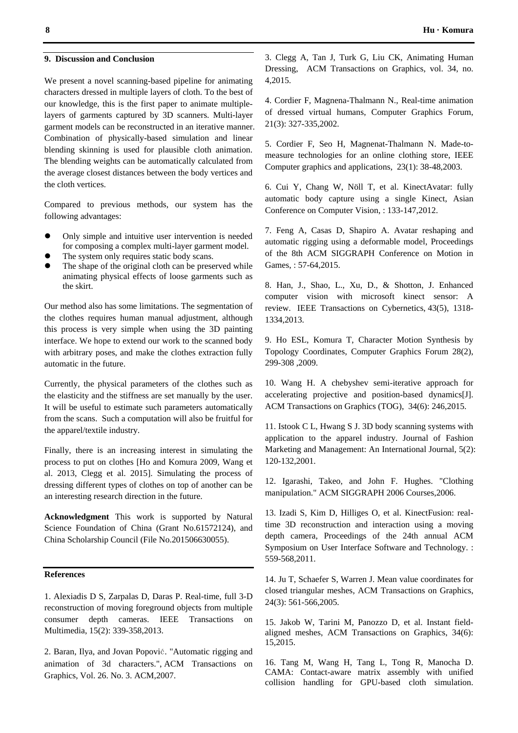#### **9. Discussion and Conclusion**

We present a novel scanning-based pipeline for animating characters dressed in multiple layers of cloth. To the best of our knowledge, this is the first paper to animate multiplelayers of garments captured by 3D scanners. Multi-layer garment models can be reconstructed in an iterative manner. Combination of physically-based simulation and linear blending skinning is used for plausible cloth animation. The blending weights can be automatically calculated from the average closest distances between the body vertices and the cloth vertices.

Compared to previous methods, our system has the following advantages:

- Only simple and intuitive user intervention is needed for composing a complex multi-layer garment model.
- The system only requires static body scans.
- The shape of the original cloth can be preserved while animating physical effects of loose garments such as the skirt.

Our method also has some limitations. The segmentation of the clothes requires human manual adjustment, although this process is very simple when using the 3D painting interface. We hope to extend our work to the scanned body with arbitrary poses, and make the clothes extraction fully automatic in the future.

Currently, the physical parameters of the clothes such as the elasticity and the stiffness are set manually by the user. It will be useful to estimate such parameters automatically from the scans. Such a computation will also be fruitful for the apparel/textile industry.

Finally, there is an increasing interest in simulating the process to put on clothes [Ho and Komura 2009, Wang et al. 2013, Clegg et al. 2015]. Simulating the process of dressing different types of clothes on top of another can be an interesting research direction in the future.

**Acknowledgment** This work is supported by Natural Science Foundation of China (Grant No.61572124), and China Scholarship Council (File No.201506630055).

#### **References**

1. Alexiadis D S, Zarpalas D, Daras P. Real-time, full 3-D reconstruction of moving foreground objects from multiple consumer depth cameras. IEEE Transactions on Multimedia, 15(2): 339-358,2013.

2. Baran, Ilya, and Jovan Popović. "Automatic rigging and animation of 3d characters.", ACM Transactions on Graphics, Vol. 26. No. 3. ACM,2007.

4. Cordier F, Magnena-Thalmann N., Real-time animation of dressed virtual humans, Computer Graphics Forum, 21(3): 327-335,2002.

5. Cordier F, Seo H, Magnenat-Thalmann N. Made-tomeasure technologies for an online clothing store, IEEE Computer graphics and applications, 23(1): 38-48,2003.

6. Cui Y, Chang W, Nöll T, et al. KinectAvatar: fully automatic body capture using a single Kinect, Asian Conference on Computer Vision, : 133-147,2012.

7. Feng A, Casas D, Shapiro A. Avatar reshaping and automatic rigging using a deformable model, Proceedings of the 8th ACM SIGGRAPH Conference on Motion in Games, : 57-64,2015.

8. Han, J., Shao, L., Xu, D., & Shotton, J. Enhanced computer vision with microsoft kinect sensor: A review. IEEE Transactions on Cybernetics, 43(5), 1318- 1334,2013.

9. Ho ESL, Komura T, Character Motion Synthesis by Topology Coordinates, Computer Graphics Forum 28(2), 299-308 ,2009.

10. Wang H. A chebyshev semi-iterative approach for accelerating projective and position-based dynamics[J]. ACM Transactions on Graphics (TOG), 34(6): 246,2015.

11. Istook C L, Hwang S J. 3D body scanning systems with application to the apparel industry. Journal of Fashion Marketing and Management: An International Journal, 5(2): 120-132,2001.

12. Igarashi, Takeo, and John F. Hughes. "Clothing manipulation." ACM SIGGRAPH 2006 Courses,2006.

13. Izadi S, Kim D, Hilliges O, et al. KinectFusion: realtime 3D reconstruction and interaction using a moving depth camera, Proceedings of the 24th annual ACM Symposium on User Interface Software and Technology. : 559-568,2011.

14. Ju T, Schaefer S, Warren J. Mean value coordinates for closed triangular meshes, ACM Transactions on Graphics, 24(3): 561-566,2005.

15. Jakob W, Tarini M, Panozzo D, et al. Instant fieldaligned meshes, ACM Transactions on Graphics, 34(6): 15,2015.

16. Tang M, Wang H, Tang L, Tong R, Manocha D. CAMA: Contact-aware matrix assembly with unified collision handling for GPU-based cloth simulation.